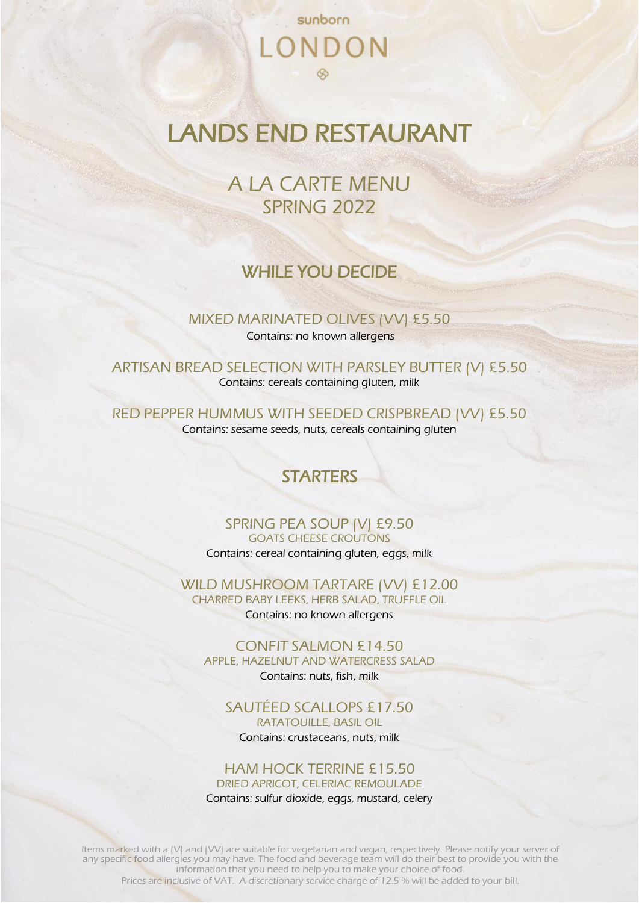# sunborn LONDON

## LANDS END RESTAURANT

A LA CARTE MENU SPRING 2022

### WHILE YOU DECIDE

MIXED MARINATED OLIVES (VV) £5.50 Contains: no known allergens

ARTISAN BREAD SELECTION WITH PARSLEY BUTTER (V) £5.50 Contains: cereals containing gluten, milk

RED PEPPER HUMMUS WITH SEEDED CRISPBREAD (VV) £5.50 Contains: sesame seeds, nuts, cereals containing gluten

## **STARTERS**

SPRING PEA SOUP (V) £9.50 GOATS CHEESE CROUTONS Contains: cereal containing gluten, eggs, milk

WILD MUSHROOM TARTARE (VV) £12.00 CHARRED BABY LEEKS, HERB SALAD, TRUFFLE OIL Contains: no known allergens

CONFIT SALMON £14.50 APPLE, HAZELNUT AND WATERCRESS SALAD

Contains: nuts, fish, milk

SAUTÉED SCALLOPS £17.50 RATATOUILLE, BASIL OIL Contains: crustaceans, nuts, milk

### HAM HOCK TERRINE £15.50

DRIED APRICOT, CELERIAC REMOULADE

Contains: sulfur dioxide, eggs, mustard, celery

Items marked with a (V) and (VV) are suitable for vegetarian and vegan, respectively. Please notify your server of any specific food allergies you may have. The food and beverage team will do their best to provide you with the information that you need to help you to make your choice of food.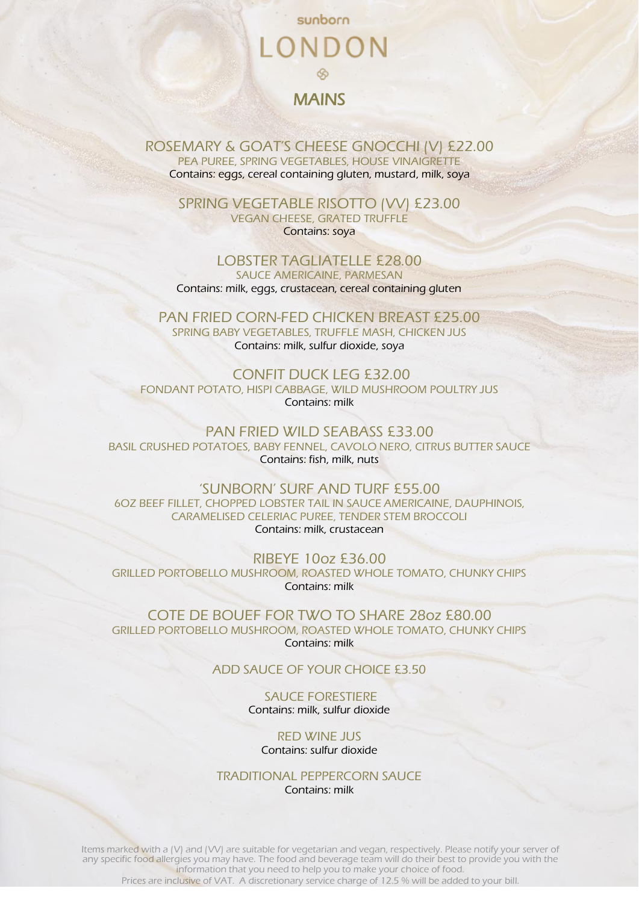## sunborn LONDON MAINS

ROSEMARY & GOAT'S CHEESE GNOCCHI (V) £22.00 PEA PUREE, SPRING VEGETABLES, HOUSE VINAIGRETTE Contains: eggs, cereal containing gluten, mustard, milk, soya

SPRING VEGETABLE RISOTTO (VV) £23.00 VEGAN CHEESE, GRATED TRUFFLE Contains: soya

LOBSTER TAGLIATELLE £28.00 SAUCE AMERICAINE, PARMESAN Contains: milk, eggs, crustacean, cereal containing gluten

PAN FRIED CORN-FED CHICKEN BREAST £25.00 SPRING BABY VEGETABLES, TRUFFLE MASH, CHICKEN JUS Contains: milk, sulfur dioxide, soya

CONFIT DUCK LEG £32.00 FONDANT POTATO, HISPI CABBAGE, WILD MUSHROOM POULTRY JUS Contains: milk

PAN FRIED WILD SEABASS £33.00 BASIL CRUSHED POTATOES, BABY FENNEL, CAVOLO NERO, CITRUS BUTTER SAUCE Contains: fish, milk, nuts

'SUNBORN' SURF AND TURF £55.00 6OZ BEEF FILLET, CHOPPED LOBSTER TAIL IN SAUCE AMERICAINE, DAUPHINOIS, CARAMELISED CELERIAC PUREE, TENDER STEM BROCCOLI Contains: milk, crustacean

RIBEYE 10oz £36.00 GRILLED PORTOBELLO MUSHROOM, ROASTED WHOLE TOMATO, CHUNKY CHIPS Contains: milk

COTE DE BOUEF FOR TWO TO SHARE 28oz £80.00 GRILLED PORTOBELLO MUSHROOM, ROASTED WHOLE TOMATO, CHUNKY CHIPS Contains: milk

ADD SAUCE OF YOUR CHOICE £3.50

SAUCE FORESTIERE Contains: milk, sulfur dioxide

RED WINE JUS Contains: sulfur dioxide

TRADITIONAL PEPPERCORN SAUCE Contains: milk

Items marked with a (V) and (VV) are suitable for vegetarian and vegan, respectively. Please notify your server of any specific food allergies you may have. The food and beverage team will do their best to provide you with the information that you need to help you to make your choice of food.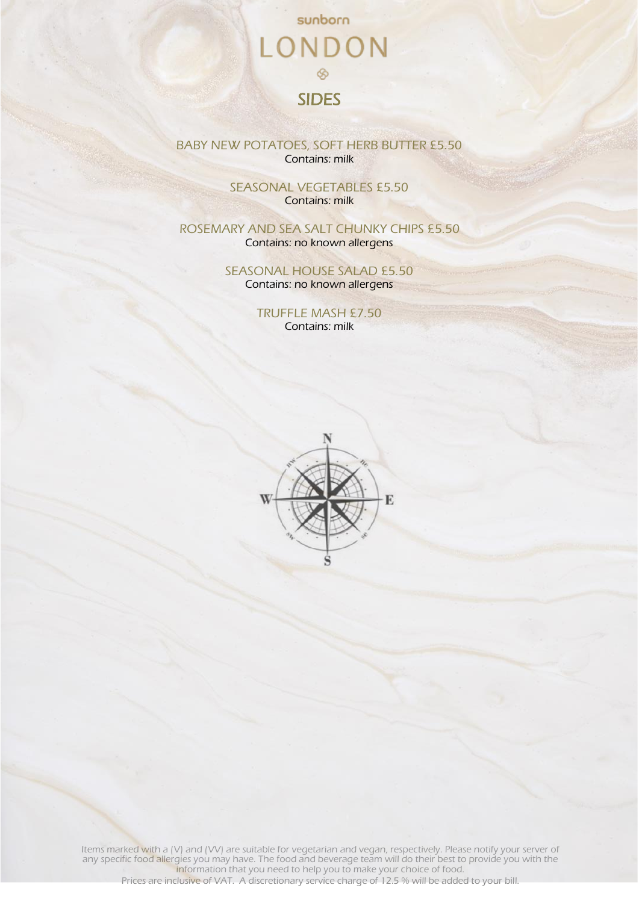## sunborn LONDON  $\otimes$ SIDES

BABY NEW POTATOES, SOFT HERB BUTTER £5.50 Contains: milk

> SEASONAL VEGETABLES £5.50 Contains: milk

ROSEMARY AND SEA SALT CHUNKY CHIPS £5.50 Contains: no known allergens

> SEASONAL HOUSE SALAD £5.50 Contains: no known allergens

> > TRUFFLE MASH £7.50 Contains: milk



Items marked with a (V) and (VV) are suitable for vegetarian and vegan, respectively. Please notify your server of any specific food allergies you may have. The food and beverage team will do their best to provide you with the information that you need to help you to make your choice of food.